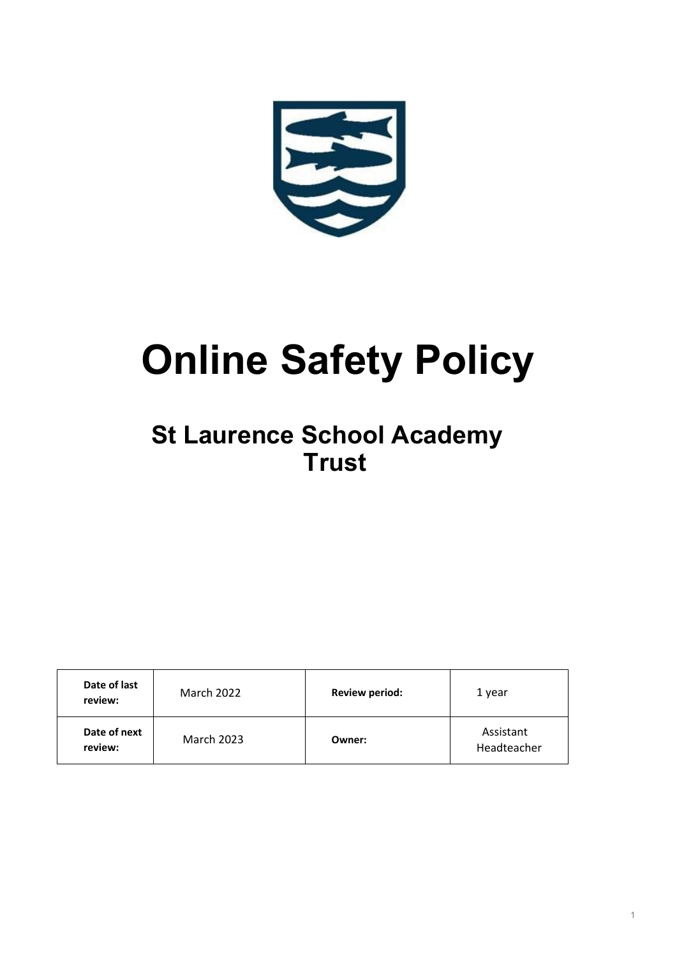

# **Online Safety Policy**

## **St Laurence School Academy Trust**

| Date of last<br>review: | March 2022        | <b>Review period:</b> | 1 year                   |
|-------------------------|-------------------|-----------------------|--------------------------|
| Date of next<br>review: | <b>March 2023</b> | Owner:                | Assistant<br>Headteacher |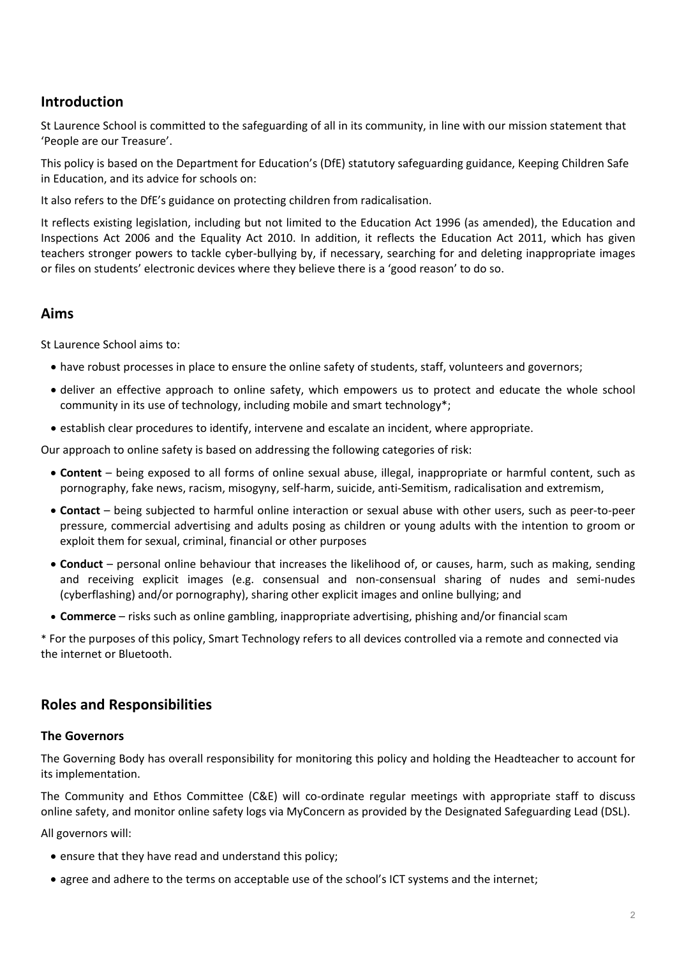## **Introduction**

St Laurence School is committed to the safeguarding of all in its community, in line with our mission statement that 'People are our Treasure'.

This policy is based on the Department for Education's (DfE) statutory safeguarding guidance, Keeping Children Safe in Education, and its advice for schools on:

It also refers to the DfE's guidance on protecting children from radicalisation.

It reflects existing legislation, including but not limited to the Education Act 1996 (as amended), the Education and Inspections Act 2006 and the Equality Act 2010. In addition, it reflects the Education Act 2011, which has given teachers stronger powers to tackle cyber-bullying by, if necessary, searching for and deleting inappropriate images or files on students' electronic devices where they believe there is a 'good reason' to do so.

## **Aims**

St Laurence School aims to:

- have robust processes in place to ensure the online safety of students, staff, volunteers and governors;
- deliver an effective approach to online safety, which empowers us to protect and educate the whole school community in its use of technology, including mobile and smart technology\*;
- establish clear procedures to identify, intervene and escalate an incident, where appropriate.

Our approach to online safety is based on addressing the following categories of risk:

- **Content** being exposed to all forms of online sexual abuse, illegal, inappropriate or harmful content, such as pornography, fake news, racism, misogyny, self-harm, suicide, anti-Semitism, radicalisation and extremism,
- **Contact** being subjected to harmful online interaction or sexual abuse with other users, such as peer-to-peer pressure, commercial advertising and adults posing as children or young adults with the intention to groom or exploit them for sexual, criminal, financial or other purposes
- **Conduct** personal online behaviour that increases the likelihood of, or causes, harm, such as making, sending and receiving explicit images (e.g. consensual and non-consensual sharing of nudes and semi-nudes (cyberflashing) and/or pornography), sharing other explicit images and online bullying; and
- **Commerce** risks such as online gambling, inappropriate advertising, phishing and/or financial scam

\* For the purposes of this policy, Smart Technology refers to all devices controlled via a remote and connected via the internet or Bluetooth.

## **Roles and Responsibilities**

### **The Governors**

The Governing Body has overall responsibility for monitoring this policy and holding the Headteacher to account for its implementation.

The Community and Ethos Committee (C&E) will co-ordinate regular meetings with appropriate staff to discuss online safety, and monitor online safety logs via MyConcern as provided by the Designated Safeguarding Lead (DSL).

All governors will:

- ensure that they have read and understand this policy;
- agree and adhere to the terms on acceptable use of the school's ICT systems and the internet;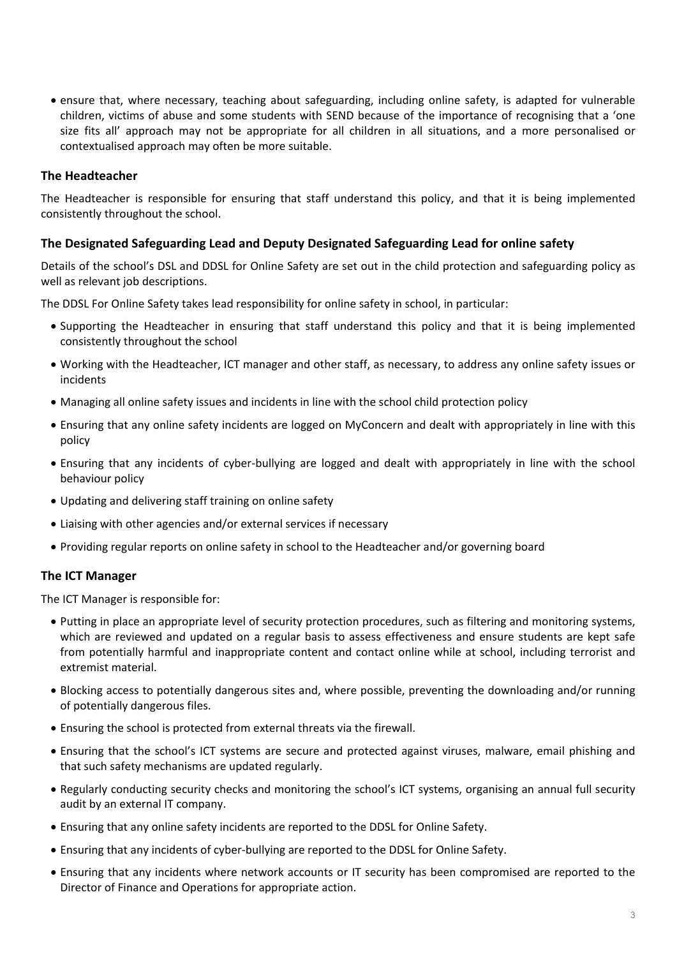• ensure that, where necessary, teaching about safeguarding, including online safety, is adapted for vulnerable children, victims of abuse and some students with SEND because of the importance of recognising that a 'one size fits all' approach may not be appropriate for all children in all situations, and a more personalised or contextualised approach may often be more suitable.

#### **The Headteacher**

The Headteacher is responsible for ensuring that staff understand this policy, and that it is being implemented consistently throughout the school.

### **The Designated Safeguarding Lead and Deputy Designated Safeguarding Lead for online safety**

Details of the school's DSL and DDSL for Online Safety are set out in the child protection and safeguarding policy as well as relevant job descriptions.

The DDSL For Online Safety takes lead responsibility for online safety in school, in particular:

- Supporting the Headteacher in ensuring that staff understand this policy and that it is being implemented consistently throughout the school
- Working with the Headteacher, ICT manager and other staff, as necessary, to address any online safety issues or incidents
- Managing all online safety issues and incidents in line with the school child protection policy
- Ensuring that any online safety incidents are logged on MyConcern and dealt with appropriately in line with this policy
- Ensuring that any incidents of cyber-bullying are logged and dealt with appropriately in line with the school behaviour policy
- Updating and delivering staff training on online safety
- Liaising with other agencies and/or external services if necessary
- Providing regular reports on online safety in school to the Headteacher and/or governing board

#### **The ICT Manager**

The ICT Manager is responsible for:

- Putting in place an appropriate level of security protection procedures, such as filtering and monitoring systems, which are reviewed and updated on a regular basis to assess effectiveness and ensure students are kept safe from potentially harmful and inappropriate content and contact online while at school, including terrorist and extremist material.
- Blocking access to potentially dangerous sites and, where possible, preventing the downloading and/or running of potentially dangerous files.
- Ensuring the school is protected from external threats via the firewall.
- Ensuring that the school's ICT systems are secure and protected against viruses, malware, email phishing and that such safety mechanisms are updated regularly.
- Regularly conducting security checks and monitoring the school's ICT systems, organising an annual full security audit by an external IT company.
- Ensuring that any online safety incidents are reported to the DDSL for Online Safety.
- Ensuring that any incidents of cyber-bullying are reported to the DDSL for Online Safety.
- Ensuring that any incidents where network accounts or IT security has been compromised are reported to the Director of Finance and Operations for appropriate action.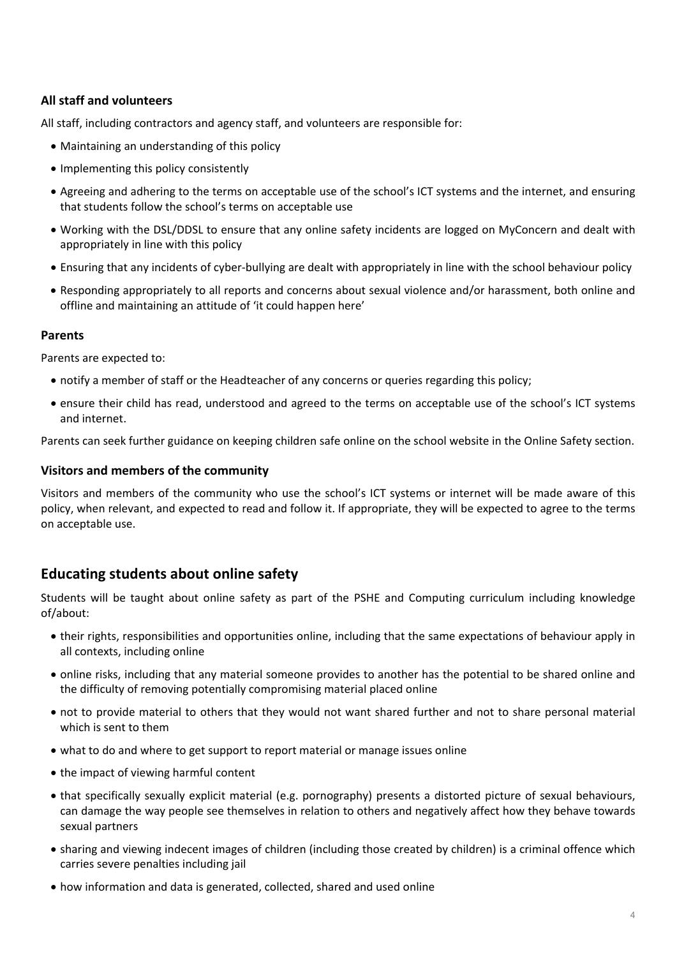### **All staff and volunteers**

All staff, including contractors and agency staff, and volunteers are responsible for:

- Maintaining an understanding of this policy
- Implementing this policy consistently
- Agreeing and adhering to the terms on acceptable use of the school's ICT systems and the internet, and ensuring that students follow the school's terms on acceptable use
- Working with the DSL/DDSL to ensure that any online safety incidents are logged on MyConcern and dealt with appropriately in line with this policy
- Ensuring that any incidents of cyber-bullying are dealt with appropriately in line with the school behaviour policy
- Responding appropriately to all reports and concerns about sexual violence and/or harassment, both online and offline and maintaining an attitude of 'it could happen here'

#### **Parents**

Parents are expected to:

- notify a member of staff or the Headteacher of any concerns or queries regarding this policy;
- ensure their child has read, understood and agreed to the terms on acceptable use of the school's ICT systems and internet.

Parents can seek further guidance on keeping children safe online on the school website in the Online Safety section.

### **Visitors and members of the community**

Visitors and members of the community who use the school's ICT systems or internet will be made aware of this policy, when relevant, and expected to read and follow it. If appropriate, they will be expected to agree to the terms on acceptable use.

## **Educating students about online safety**

Students will be taught about online safety as part of the PSHE and Computing curriculum including knowledge of/about:

- their rights, responsibilities and opportunities online, including that the same expectations of behaviour apply in all contexts, including online
- online risks, including that any material someone provides to another has the potential to be shared online and the difficulty of removing potentially compromising material placed online
- not to provide material to others that they would not want shared further and not to share personal material which is sent to them
- what to do and where to get support to report material or manage issues online
- the impact of viewing harmful content
- that specifically sexually explicit material (e.g. pornography) presents a distorted picture of sexual behaviours, can damage the way people see themselves in relation to others and negatively affect how they behave towards sexual partners
- sharing and viewing indecent images of children (including those created by children) is a criminal offence which carries severe penalties including jail
- how information and data is generated, collected, shared and used online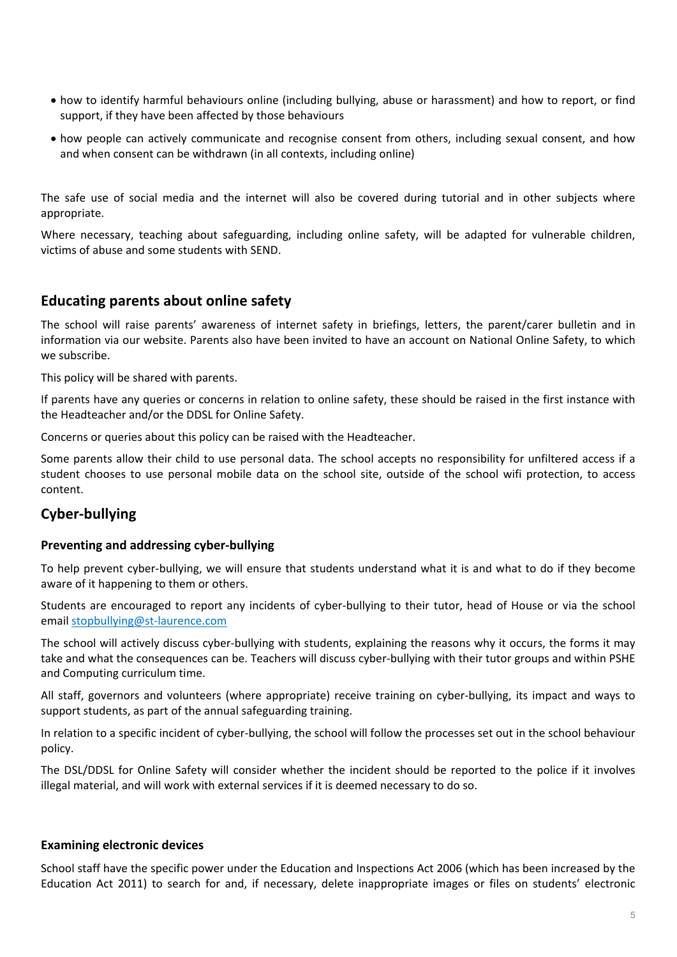- how to identify harmful behaviours online (including bullying, abuse or harassment) and how to report, or find support, if they have been affected by those behaviours
- how people can actively communicate and recognise consent from others, including sexual consent, and how and when consent can be withdrawn (in all contexts, including online)

The safe use of social media and the internet will also be covered during tutorial and in other subjects where appropriate.

Where necessary, teaching about safeguarding, including online safety, will be adapted for vulnerable children, victims of abuse and some students with SEND.

## **Educating parents about online safety**

The school will raise parents' awareness of internet safety in briefings, letters, the parent/carer bulletin and in information via our website. Parents also have been invited to have an account on National Online Safety, to which we subscribe.

This policy will be shared with parents.

If parents have any queries or concerns in relation to online safety, these should be raised in the first instance with the Headteacher and/or the DDSL for Online Safety.

Concerns or queries about this policy can be raised with the Headteacher.

Some parents allow their child to use personal data. The school accepts no responsibility for unfiltered access if a student chooses to use personal mobile data on the school site, outside of the school wifi protection, to access content.

## **Cyber-bullying**

### **Preventing and addressing cyber-bullying**

To help prevent cyber-bullying, we will ensure that students understand what it is and what to do if they become aware of it happening to them or others.

Students are encouraged to report any incidents of cyber-bullying to their tutor, head of House or via the school email [stopbullying@st-laurence.com](mailto:stopbullying@st-laurence.com)

The school will actively discuss cyber-bullying with students, explaining the reasons why it occurs, the forms it may take and what the consequences can be. Teachers will discuss cyber-bullying with their tutor groups and within PSHE and Computing curriculum time.

All staff, governors and volunteers (where appropriate) receive training on cyber-bullying, its impact and ways to support students, as part of the annual safeguarding training.

In relation to a specific incident of cyber-bullying, the school will follow the processes set out in the school behaviour policy.

The DSL/DDSL for Online Safety will consider whether the incident should be reported to the police if it involves illegal material, and will work with external services if it is deemed necessary to do so.

### **Examining electronic devices**

School staff have the specific power under the Education and Inspections Act 2006 (which has been increased by the Education Act 2011) to search for and, if necessary, delete inappropriate images or files on students' electronic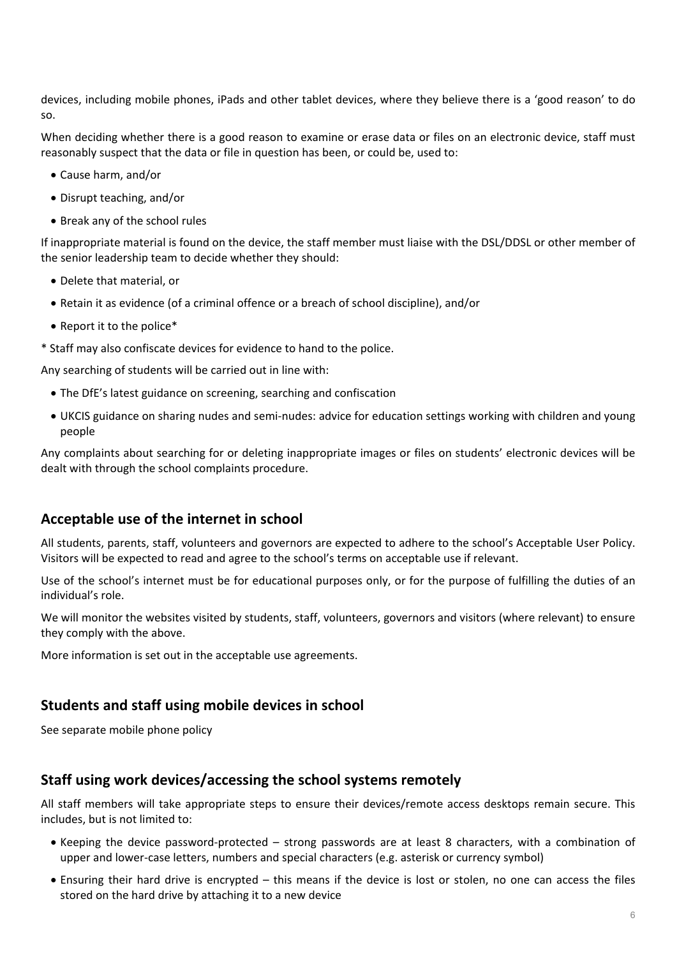devices, including mobile phones, iPads and other tablet devices, where they believe there is a 'good reason' to do so.

When deciding whether there is a good reason to examine or erase data or files on an electronic device, staff must reasonably suspect that the data or file in question has been, or could be, used to:

- Cause harm, and/or
- Disrupt teaching, and/or
- Break any of the school rules

If inappropriate material is found on the device, the staff member must liaise with the DSL/DDSL or other member of the senior leadership team to decide whether they should:

- Delete that material, or
- Retain it as evidence (of a criminal offence or a breach of school discipline), and/or
- Report it to the police\*
- \* Staff may also confiscate devices for evidence to hand to the police.

Any searching of students will be carried out in line with:

- The DfE's latest guidance on screening, searching and confiscation
- UKCIS guidance on sharing nudes and semi-nudes: advice for education settings working with children and young people

Any complaints about searching for or deleting inappropriate images or files on students' electronic devices will be dealt with through the school complaints procedure.

## **Acceptable use of the internet in school**

All students, parents, staff, volunteers and governors are expected to adhere to the school's Acceptable User Policy. Visitors will be expected to read and agree to the school's terms on acceptable use if relevant.

Use of the school's internet must be for educational purposes only, or for the purpose of fulfilling the duties of an individual's role.

We will monitor the websites visited by students, staff, volunteers, governors and visitors (where relevant) to ensure they comply with the above.

More information is set out in the acceptable use agreements.

## **Students and staff using mobile devices in school**

See separate mobile phone policy

## **Staff using work devices/accessing the school systems remotely**

All staff members will take appropriate steps to ensure their devices/remote access desktops remain secure. This includes, but is not limited to:

- Keeping the device password-protected strong passwords are at least 8 characters, with a combination of upper and lower-case letters, numbers and special characters (e.g. asterisk or currency symbol)
- Ensuring their hard drive is encrypted this means if the device is lost or stolen, no one can access the files stored on the hard drive by attaching it to a new device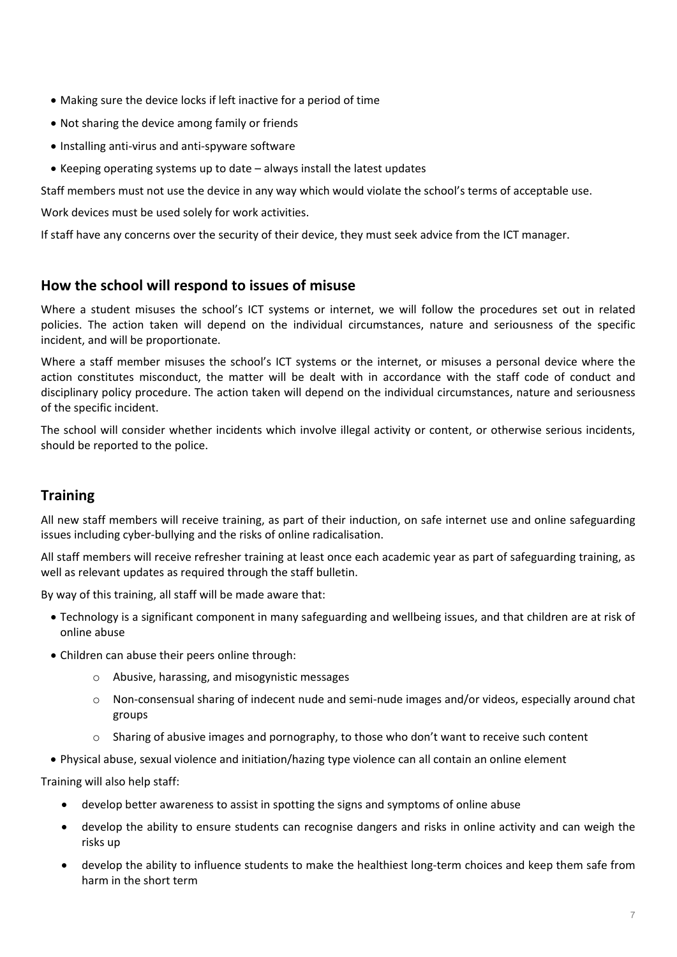- Making sure the device locks if left inactive for a period of time
- Not sharing the device among family or friends
- Installing anti-virus and anti-spyware software
- Keeping operating systems up to date always install the latest updates

Staff members must not use the device in any way which would violate the school's terms of acceptable use.

Work devices must be used solely for work activities.

If staff have any concerns over the security of their device, they must seek advice from the ICT manager.

## **How the school will respond to issues of misuse**

Where a student misuses the school's ICT systems or internet, we will follow the procedures set out in related policies. The action taken will depend on the individual circumstances, nature and seriousness of the specific incident, and will be proportionate.

Where a staff member misuses the school's ICT systems or the internet, or misuses a personal device where the action constitutes misconduct, the matter will be dealt with in accordance with the staff code of conduct and disciplinary policy procedure. The action taken will depend on the individual circumstances, nature and seriousness of the specific incident.

The school will consider whether incidents which involve illegal activity or content, or otherwise serious incidents, should be reported to the police.

## **Training**

All new staff members will receive training, as part of their induction, on safe internet use and online safeguarding issues including cyber-bullying and the risks of online radicalisation.

All staff members will receive refresher training at least once each academic year as part of safeguarding training, as well as relevant updates as required through the staff bulletin.

By way of this training, all staff will be made aware that:

- Technology is a significant component in many safeguarding and wellbeing issues, and that children are at risk of online abuse
- Children can abuse their peers online through:
	- o Abusive, harassing, and misogynistic messages
	- o Non-consensual sharing of indecent nude and semi-nude images and/or videos, especially around chat groups
	- Sharing of abusive images and pornography, to those who don't want to receive such content
- Physical abuse, sexual violence and initiation/hazing type violence can all contain an online element

Training will also help staff:

- develop better awareness to assist in spotting the signs and symptoms of online abuse
- develop the ability to ensure students can recognise dangers and risks in online activity and can weigh the risks up
- develop the ability to influence students to make the healthiest long-term choices and keep them safe from harm in the short term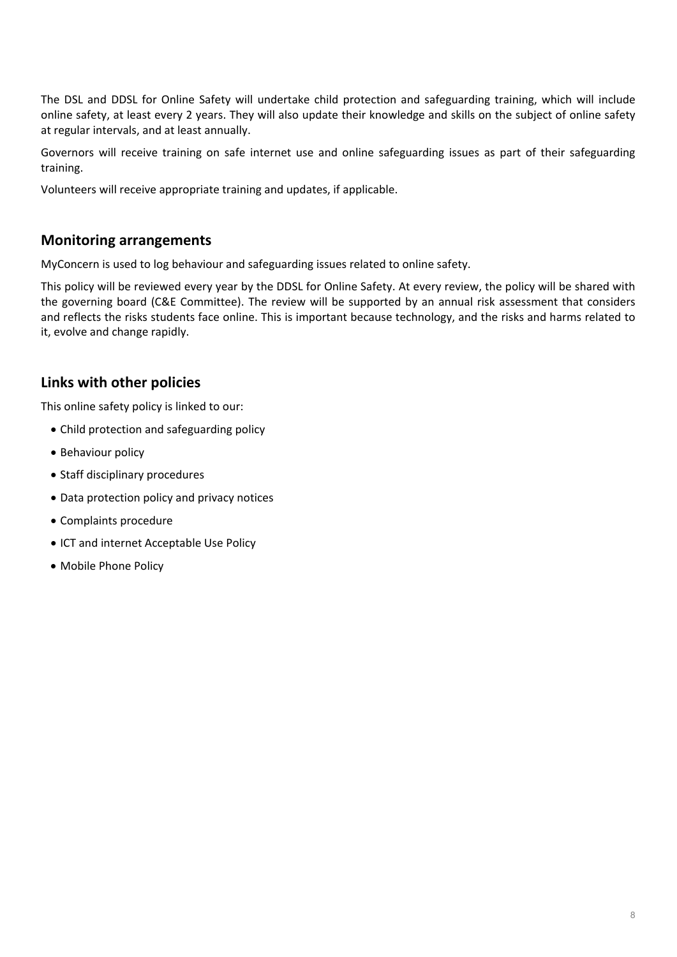The DSL and DDSL for Online Safety will undertake child protection and safeguarding training, which will include online safety, at least every 2 years. They will also update their knowledge and skills on the subject of online safety at regular intervals, and at least annually.

Governors will receive training on safe internet use and online safeguarding issues as part of their safeguarding training.

Volunteers will receive appropriate training and updates, if applicable.

## **Monitoring arrangements**

MyConcern is used to log behaviour and safeguarding issues related to online safety.

This policy will be reviewed every year by the DDSL for Online Safety. At every review, the policy will be shared with the governing board (C&E Committee). The review will be supported by an annual risk assessment that considers and reflects the risks students face online. This is important because technology, and the risks and harms related to it, evolve and change rapidly.

## **Links with other policies**

This online safety policy is linked to our:

- Child protection and safeguarding policy
- Behaviour policy
- Staff disciplinary procedures
- Data protection policy and privacy notices
- Complaints procedure
- ICT and internet Acceptable Use Policy
- Mobile Phone Policy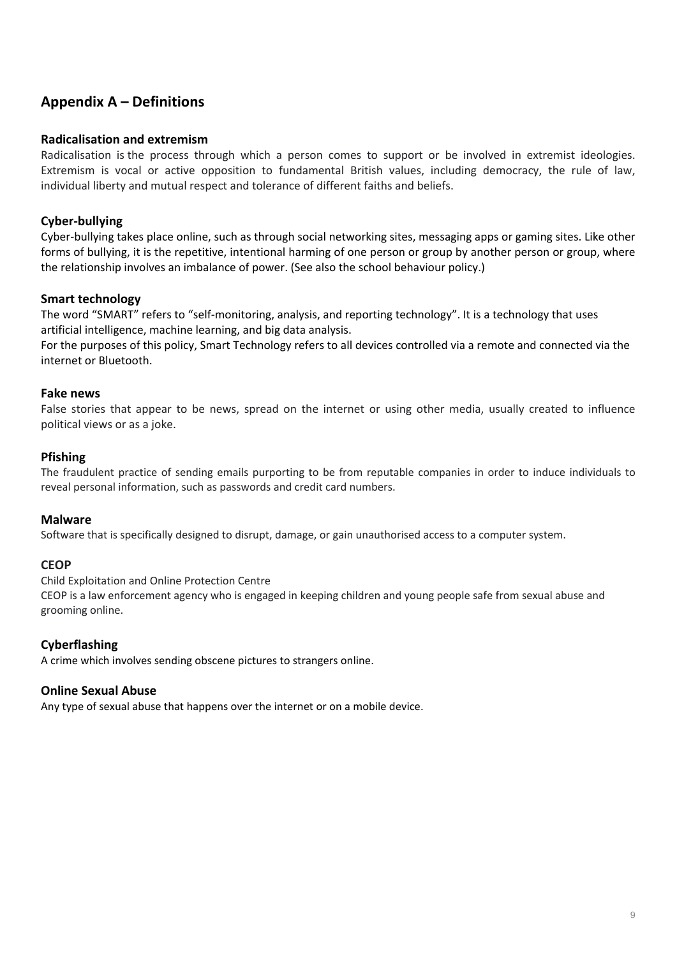## **Appendix A – Definitions**

#### **Radicalisation and extremism**

Radicalisation is the process through which a person comes to support or be involved in extremist ideologies. Extremism is vocal or active opposition to fundamental British values, including democracy, the rule of law, individual liberty and mutual respect and tolerance of different faiths and beliefs.

### **Cyber-bullying**

Cyber-bullying takes place online, such as through social networking sites, messaging apps or gaming sites. Like other forms of bullying, it is the repetitive, intentional harming of one person or group by another person or group, where the relationship involves an imbalance of power. (See also the school behaviour policy.)

### **Smart technology**

The word "SMART" refers to "self-monitoring, analysis, and reporting technology". It is a technology that uses artificial intelligence, machine learning, and big data analysis.

For the purposes of this policy, Smart Technology refers to all devices controlled via a remote and connected via the internet or Bluetooth.

#### **Fake news**

False stories that appear to be news, spread on the internet or using other media, usually created to influence political views or as a joke.

#### **Pfishing**

The fraudulent practice of sending emails purporting to be from reputable companies in order to induce individuals to reveal personal information, such as passwords and credit card numbers.

#### **Malware**

Software that is specifically designed to disrupt, damage, or gain unauthorised access to a computer system.

#### **CEOP**

Child Exploitation and Online Protection Centre

CEOP is a law enforcement agency who is engaged in keeping children and young people safe from sexual abuse and grooming online.

### **Cyberflashing**

A crime which involves sending obscene pictures to strangers online.

#### **Online Sexual Abuse**

Any type of sexual abuse that happens over the internet or on a mobile device.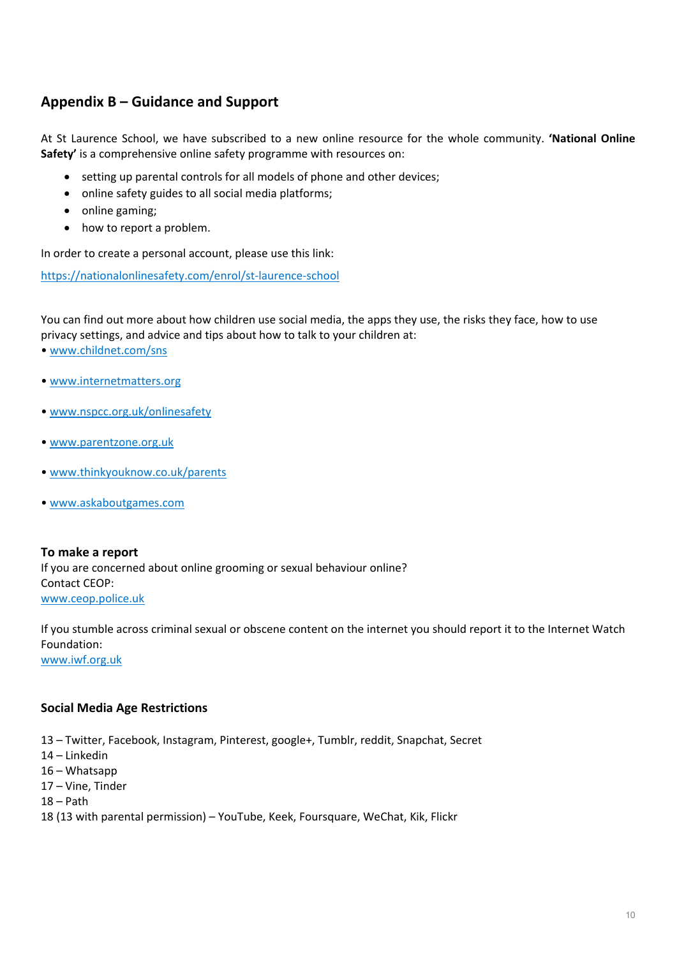## **Appendix B – Guidance and Support**

At St Laurence School, we have subscribed to a new online resource for the whole community. **'National Online Safety'** is a comprehensive online safety programme with resources on:

- setting up parental controls for all models of phone and other devices;
- online safety guides to all social media platforms;
- online gaming;
- how to report a problem.

In order to create a personal account, please use this link:

<https://nationalonlinesafety.com/enrol/st-laurence-school>

You can find out more about how children use social media, the apps they use, the risks they face, how to use privacy settings, and advice and tips about how to talk to your children at:

- • [www.childnet.com/sns](http://www.childnet.com/sns)
- • [www.internetmatters.org](http://www.internetmatters.org/)
- • [www.nspcc.org.uk/onlinesafety](http://www.nspcc.org.uk/onlinesafety)
- • [www.parentzone.org.uk](http://www.parentzone.org.uk/)
- • [www.thinkyouknow.co.uk/parents](http://www.thinkyouknow.co.uk/parents)
- • [www.askaboutgames.com](http://www.askaboutgames.com/)

#### **To make a report**

If you are concerned about online grooming or sexual behaviour online? Contact CEOP: [www.ceop.police.uk](http://www.ceop.police.uk/)

If you stumble across criminal sexual or obscene content on the internet you should report it to the Internet Watch Foundation: [www.iwf.org.uk](http://www.iwf.org.uk/)

#### **Social Media Age Restrictions**

13 – Twitter, Facebook, Instagram, Pinterest, google+, Tumblr, reddit, Snapchat, Secret

- 14 Linkedin
- 16 Whatsapp
- 17 Vine, Tinder
- 18 Path
- 18 (13 with parental permission) YouTube, Keek, Foursquare, WeChat, Kik, Flickr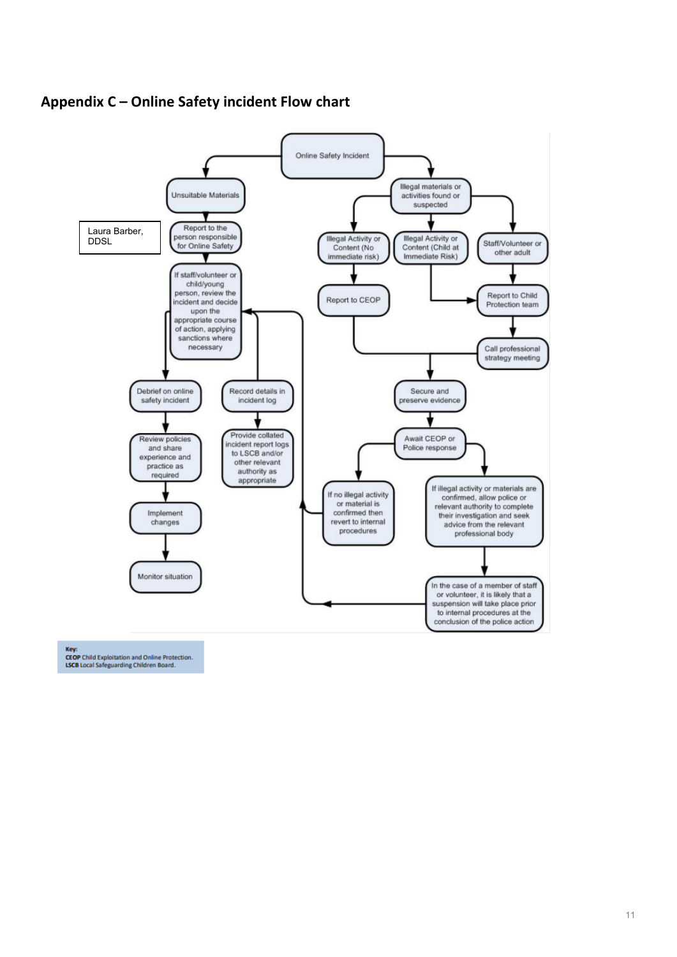



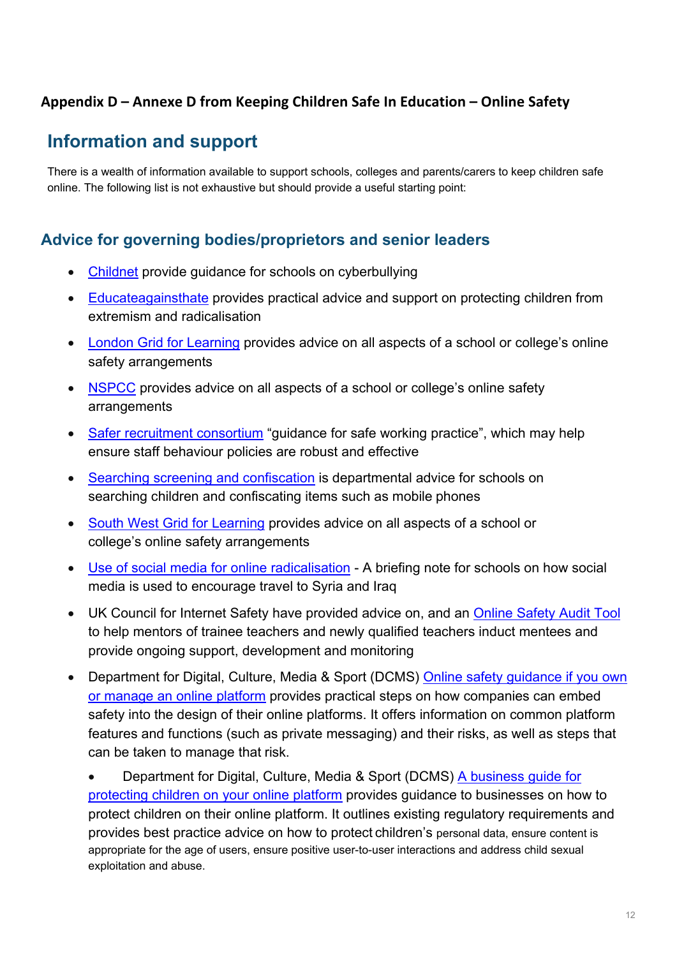## **Appendix D – Annexe D from Keeping Children Safe In Education – Online Safety**

## **Information and support**

There is a wealth of information available to support schools, colleges and parents/carers to keep children safe online. The following list is not exhaustive but should provide a useful starting point:

## **Advice for governing bodies/proprietors and senior leaders**

- [Childnet](https://www.childnet.com/resources/cyberbullying-guidance-for-schools) provide guidance for schools on cyberbullying
- [Educateagainsthate](http://www.educateagainsthate.com/) provides practical advice and support on protecting children from extremism and radicalisation
- [London Grid for Learning](https://digisafe.lgfl.net/) provides advice on all aspects of a school or college's online safety arrangements
- [NSPCC](https://learning.nspcc.org.uk/research-resources/schools/e-safety-for-schools) provides advice on all aspects of a school or college's online safety arrangements
- [Safer recruitment consortium](https://www.saferrecruitmentconsortium.org/) "guidance for safe working practice", which may help ensure staff behaviour policies are robust and effective
- [Searching screening and confiscation](http://www.gov.uk/government/publications/searching-screening-and-confiscation) is departmental advice for schools on searching children and confiscating items such as mobile phones
- [South West Grid for Learning](http://www.swgfl.org.uk/) provides advice on all aspects of a school or college's online safety arrangements
- [Use of social media for online radicalisation](https://www.gov.uk/government/publications/the-use-of-social-media-for-online-radicalisation) A briefing note for schools on how social media is used to encourage travel to Syria and Iraq
- UK Council for Internet Safety have provided advice on, and an [Online Safety](https://www.gov.uk/government/publications/ukcis-online-safety-audit-tool) [Audit Tool](https://www.gov.uk/government/publications/ukcis-online-safety-audit-tool) to help mentors of trainee teachers and newly qualified teachers induct mentees and provide ongoing support, development and monitoring
- Department for Digital, Culture, Media & Sport (DCMS) [Online safety guidance if](https://www.gov.uk/government/collections/online-safety-guidance-if-you-own-or-manage-an-online-platform) you own [or manage an online platform](https://www.gov.uk/government/collections/online-safety-guidance-if-you-own-or-manage-an-online-platform) provides practical steps on how companies can embed safety into the design of their online platforms. It offers information on common platform features and functions (such as private messaging) and their risks, as well as steps that can be taken to manage that risk.

• Department for Digital, Culture, Media & Sport (DCMS) [A business guide for](https://www.gov.uk/government/collections/a-business-guide-for-protecting-children-on-your-online-platform) [protecting children on your online platform](https://www.gov.uk/government/collections/a-business-guide-for-protecting-children-on-your-online-platform) provides guidance to businesses on how to protect children on their online platform. It outlines existing regulatory requirements and provides best practice advice on how to protect children's personal data, ensure content is appropriate for the age of users, ensure positive user-to-user interactions and address child sexual exploitation and abuse.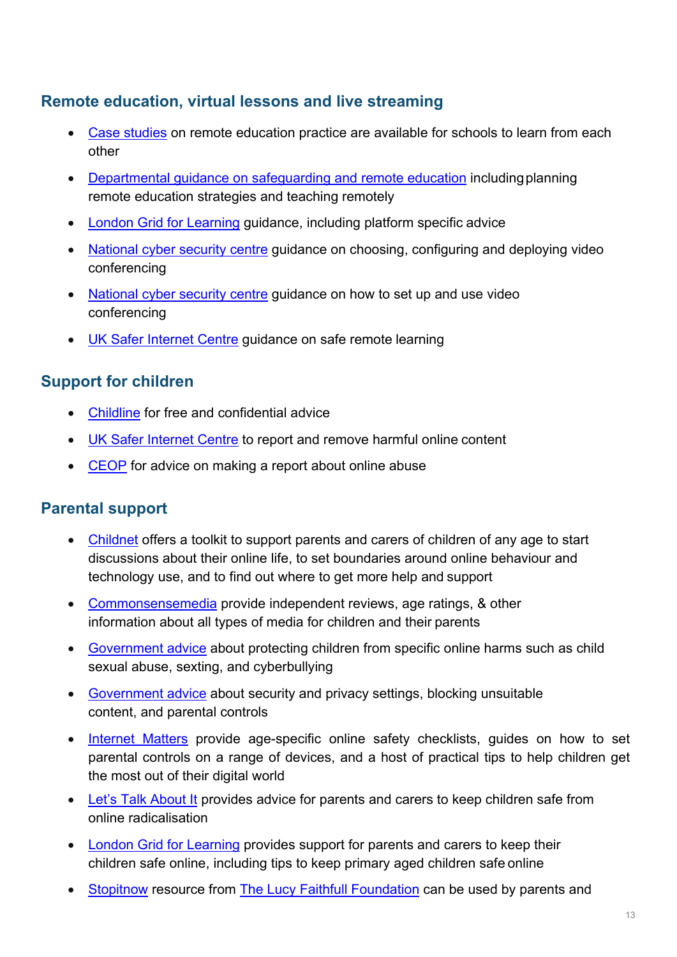## **Remote education, virtual lessons and live streaming**

- [Case studies](https://www.gov.uk/government/collections/case-studies-remote-education-practice-for-schools-during-coronavirus-covid-19) on remote education practice are available for schools to learn from each other
- [Departmental guidance on safeguarding and remote education](https://www.gov.uk/guidance/safeguarding-and-remote-education-during-coronavirus-covid-19) includingplanning remote education strategies and teaching remotely
- [London Grid for Learning](https://remotesafe.lgfl.net/) guidance, including platform specific advice
- [National cyber security centre](https://www.ncsc.gov.uk/guidance/video-conferencing-services-security-guidance-organisations) guidance on choosing, configuring and deploying video conferencing
- [National cyber security centre](https://www.ncsc.gov.uk/guidance/video-conferencing-services-using-them-securely) guidance on how to set up and use video conferencing
- [UK Safer Internet Centre](https://swgfl.org.uk/resources/safe-remote-learning/) guidance on safe remote learning

## **Support for children**

- [Childline](https://www.childline.org.uk/?utm_source=google&utm_medium=cpc&utm_campaign=UK_GO_S_B_BND_Grant_Childline_Information&utm_term=role_of_childline&gclsrc=aw.ds&&gclid=EAIaIQobChMIlfLRh-ez6AIVRrDtCh1N9QR2EAAYASAAEgLc-vD_BwE&gclsrc=aw.ds) for free and confidential advice
- [UK Safer Internet Centre](https://reportharmfulcontent.com/) to report and remove harmful online content
- [CEOP](https://www.ceop.police.uk/safety-centre/) for advice on making a report about online abuse

## **Parental support**

- [Childnet](https://www.childnet.com/parents-and-carers/parent-and-carer-toolkit) offers a toolkit to support parents and carers of children of any age to start discussions about their online life, to set boundaries around online behaviour and technology use, and to find out where to get more help and support
- [Commonsensemedia](http://www.commonsensemedia.org/) provide independent reviews, age ratings, & other information about all types of media for children and their parents
- [Government advice](https://www.gov.uk/government/publications/coronavirus-covid-19-keeping-children-safe-online/coronavirus-covid-19-support-for-parents-and-carers-to-keep-children-safe-online) about protecting children from specific online harms such as child sexual abuse, sexting, and cyberbullying
- [Government advice](https://www.gov.uk/guidance/covid-19-staying-safe-online) about security and privacy settings, blocking unsuitable content, and parental controls
- [Internet Matters](https://www.internetmatters.org/?gclid=EAIaIQobChMIktuA5LWK2wIVRYXVCh2afg2aEAAYASAAEgIJ5vD_BwE) provide age-specific online safety checklists, guides on how to set parental controls on a range of devices, and a host of practical tips to help children get the most out of their digital world
- [Let's Talk About It](https://www.ltai.info/staying-safe-online/) provides advice for parents and carers to keep children safe from online radicalisation
- [London Grid for Learning](https://parentsafe.lgfl.net/) provides support for parents and carers to keep their children safe online, including tips to keep primary aged children safe online
- [Stopitnow](https://www.stopitnow.org.uk/) resource from [The Lucy Faithfull Foundation](https://www.lucyfaithfull.org.uk/) can be used by parents and